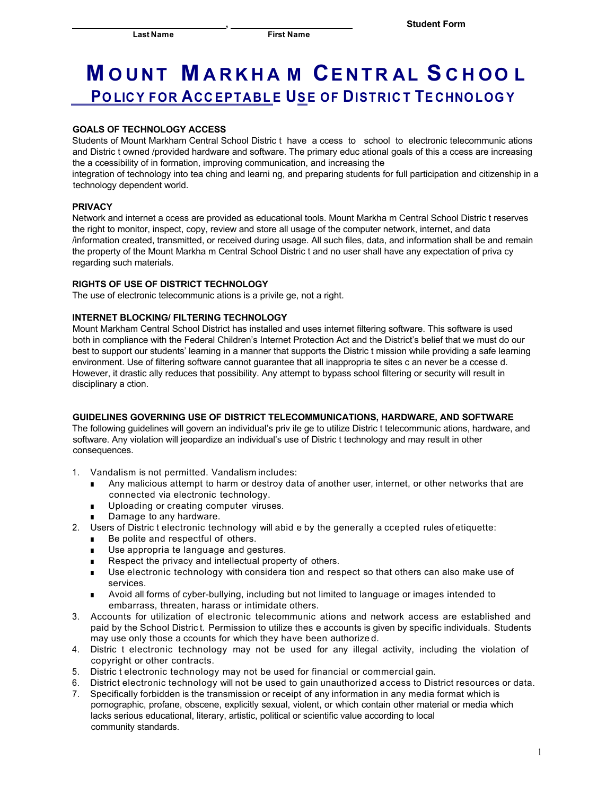**,** 

# **M O UNT M ARKHA M CENTR AL S C H OO L PO LIC Y FOR ACC EPTABL E USE OF DISTRIC T TE CHNO LOG Y**

# **GOALS OF TECHNOLOGY ACCESS**

Students of Mount Markham Central School Distric t have a ccess to school to electronic telecommunic ations and Distric t owned /provided hardware and software. The primary educ ational goals of this a ccess are increasing the a ccessibility of in formation, improving communication, and increasing the

integration of technology into tea ching and learni ng, and preparing students for full participation and citizenship in a technology dependent world.

## **PRIVACY**

Network and internet a ccess are provided as educational tools. Mount Markha m Central School Distric t reserves the right to monitor, inspect, copy, review and store all usage of the computer network, internet, and data /information created, transmitted, or received during usage. All such files, data, and information shall be and remain the property of the Mount Markha m Central School Distric t and no user shall have any expectation of priva cy regarding such materials.

# **RIGHTS OF USE OF DISTRICT TECHNOLOGY**

The use of electronic telecommunic ations is a privile ge, not a right.

# **INTERNET BLOCKING/ FILTERING TECHNOLOGY**

Mount Markham Central School District has installed and uses internet filtering software. This software is used both in compliance with the Federal Children's Internet Protection Act and the District's belief that we must do our best to support our students' learning in a manner that supports the Distric t mission while providing a safe learning environment. Use of filtering software cannot guarantee that all inappropria te sites c an never be a ccesse d. However, it drastic ally reduces that possibility. Any attempt to bypass school filtering or security will result in disciplinary a ction.

#### **GUIDELINES GOVERNING USE OF DISTRICT TELECOMMUNICATIONS, HARDWARE, AND SOFTWARE**

The following guidelines will govern an individual's priv ile ge to utilize Distric t telecommunic ations, hardware, and software. Any violation will jeopardize an individual's use of Distric t technology and may result in other consequences.

- 1. Vandalism is not permitted. Vandalism includes:
	- Any malicious attempt to harm or destroy data of another user, internet, or other networks that are connected via electronic technology.
	- Uploading or creating computer viruses.
	- Damage to any hardware.
- 2. Users of Distric t electronic technology will abid e by the generally a ccepted rules ofetiquette:
	- Be polite and respectful of others.
	- Use appropria te language and gestures.
	- Respect the privacy and intellectual property of others.
	- Use electronic technology with considera tion and respect so that others can also make use of services.
	- Avoid all forms of cyber-bullying, including but not limited to language or images intended to embarrass, threaten, harass or intimidate others.
- 3. Accounts for utilization of electronic telecommunic ations and network access are established and paid by the School Distric t. Permission to utilize thes e accounts is given by specific individuals. Students may use only those a ccounts for which they have been authorize d.
- 4. Distric t electronic technology may not be used for any illegal activity, including the violation of copyright or other contracts.
- 5. Distric t electronic technology may not be used for financial or commercial gain.
- 6. District electronic technology will not be used to gain unauthorized access to District resources or data.
- 7. Specifically forbidden is the transmission or receipt of any information in any media format which is pornographic, profane, obscene, explicitly sexual, violent, or which contain other material or media which lacks serious educational, literary, artistic, political or scientific value according to local community standards.